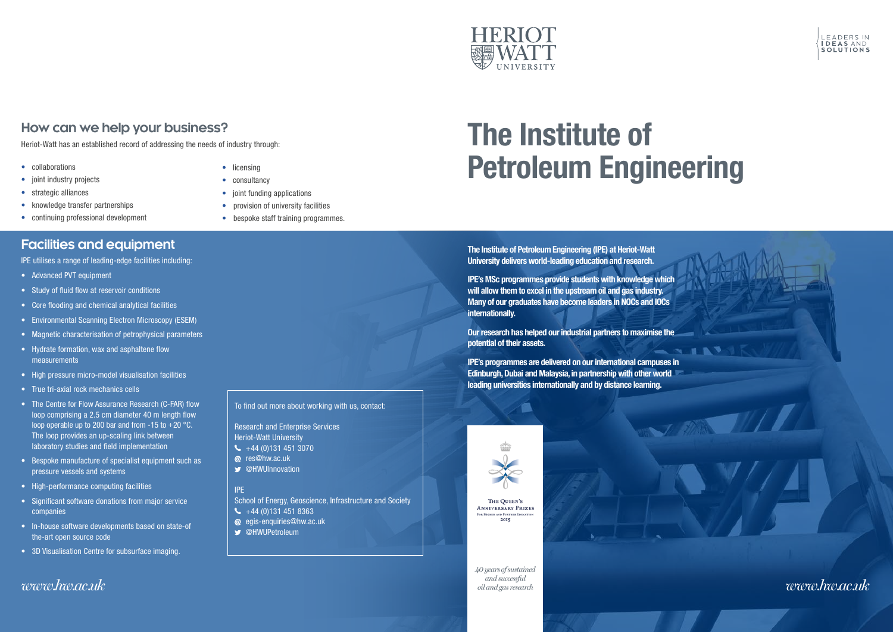# The Institute of Petroleum Engineering

The Institute of Petroleum Engineering (IPE) at Heriot-Watt University delivers world-leading education and research.

IPE's MSc programmes provide students with knowledge which will allow them to excel in the upstream oil and gas industry. Many of our graduates have become leaders in NOCs and IOCs internationally.

Our research has helped our industrial partners to maximise the potential of their assets.

- licensing
- consultancy
- joint funding applications
- provision of university facilities
- bespoke staff training programmes.

IPE's programmes are delivered on our international campuses in Edinburgh, Dubai and Malaysia, in partnership with other world leading universities internationally and by distance learning.



a



- collaborations
- joint industry projects
- strategic alliances
- knowledge transfer partnerships
- continuing professional development

#### **Facilities and equipment**

IPE utilises a range of leading-edge facilities including:

- Advanced PVT equipment
- Study of fluid flow at reservoir conditions
- Core flooding and chemical analytical facilities
- Environmental Scanning Electron Microscopy (ESEM)
- Magnetic characterisation of petrophysical parameters
- Hydrate formation, wax and asphaltene flow measurements
- High pressure micro-model visualisation facilities
- True tri-axial rock mechanics cells
- The Centre for Flow Assurance Research (C-FAR) flow loop comprising a 2.5 cm diameter 40 m length flow loop operable up to 200 bar and from  $-15$  to  $+20$  °C. The loop provides an up-scaling link between laboratory studies and field implementation
- Bespoke manufacture of specialist equipment such as pressure vessels and systems
- High-performance computing facilities
- Significant software donations from major service companies
- In-house software developments based on state-of the-art open source code
- 3D Visualisation Centre for subsurface imaging.

# **How can we help your business?**

Heriot-Watt has an established record of addressing the needs of industry through:







#### To find out more about working with us, contact:

Research and Enterprise Services Heriot-Watt University

- $\leftarrow$  +44 (0)131 451 3070
- @ res@hw.ac.uk
- **S** @HWUInnovation

#### IPE

School of Energy, Geoscience, Infrastructure and Society

- $\leftarrow$  +44 (0)131 451 8363 egis-enquiries@hw.ac.uk
- **S** @HWUPetroleum

*40 years of sustained and successful oil and gas research*